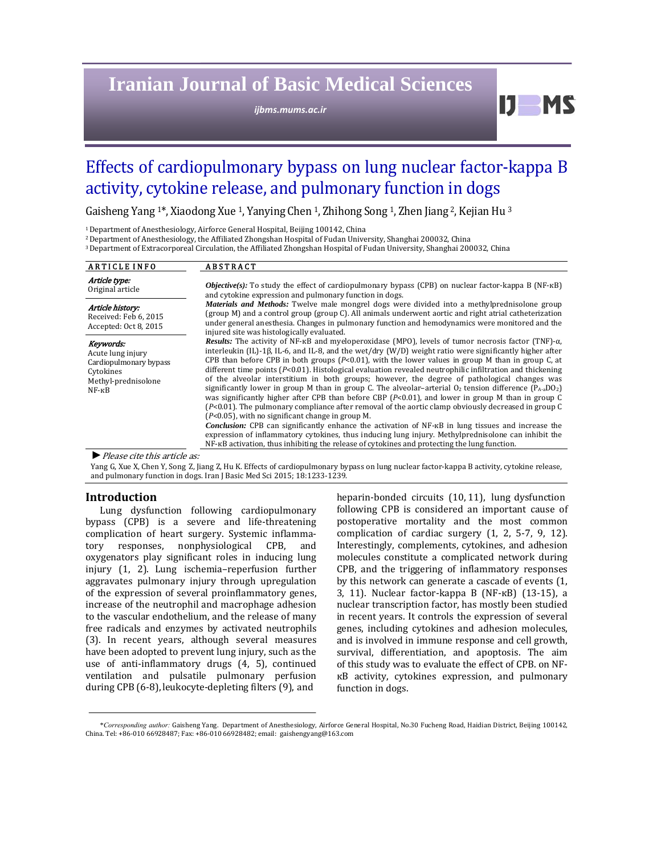# **Iranian Journal of Basic Medical Sciences**

*ijbms.mums.ac.ir*

# Effects of cardiopulmonary bypass on lung nuclear factor-kappa B activity, cytokine release, and pulmonary function in dogs

Gaisheng Yang <sup>1\*</sup>, Xiaodong Xue <sup>1</sup>, Yanying Chen <sup>1</sup>, Zhihong Song <sup>1</sup>, Zhen Jiang <sup>2</sup>, Kejian Hu<sup>3</sup>

<sup>1</sup> Department of Anesthesiology, Airforce General Hospital, Beijing 100142, China

<sup>2</sup> Department of Anesthesiology, the Affiliated Zhongshan Hospital of Fudan University, Shanghai 200032, China

<sup>3</sup> Department of Extracorporeal Circulation, the Affiliated Zhongshan Hospital of Fudan University, Shanghai 200032, China

| <b>ARTICLE INFO</b>                                                                                             | <b>ABSTRACT</b>                                                                                                                                                                                                                                                                                                                                                                                                                                                                                                                                                                                                                                                                                                                                                                                                                                                                                                                                                                                                                                                                                                                                                                                                                                                                                                                                                                                                                                                                                                                                                                                                                                                    |
|-----------------------------------------------------------------------------------------------------------------|--------------------------------------------------------------------------------------------------------------------------------------------------------------------------------------------------------------------------------------------------------------------------------------------------------------------------------------------------------------------------------------------------------------------------------------------------------------------------------------------------------------------------------------------------------------------------------------------------------------------------------------------------------------------------------------------------------------------------------------------------------------------------------------------------------------------------------------------------------------------------------------------------------------------------------------------------------------------------------------------------------------------------------------------------------------------------------------------------------------------------------------------------------------------------------------------------------------------------------------------------------------------------------------------------------------------------------------------------------------------------------------------------------------------------------------------------------------------------------------------------------------------------------------------------------------------------------------------------------------------------------------------------------------------|
| Article type:<br>Original article                                                                               | <i>Objective(s):</i> To study the effect of cardiopulmonary bypass (CPB) on nuclear factor-kappa B (NF- $\kappa$ B)<br>and cytokine expression and pulmonary function in dogs.                                                                                                                                                                                                                                                                                                                                                                                                                                                                                                                                                                                                                                                                                                                                                                                                                                                                                                                                                                                                                                                                                                                                                                                                                                                                                                                                                                                                                                                                                     |
| Article history:<br>Received: Feb 6, 2015<br>Accepted: Oct 8, 2015                                              | <i>Materials and Methods:</i> Twelve male mongrel dogs were divided into a methylprednisolone group<br>(group M) and a control group (group C). All animals underwent aortic and right atrial catheterization<br>under general anesthesia. Changes in pulmonary function and hemodynamics were monitored and the<br>injured site was histologically evaluated.<br><b>Results:</b> The activity of NF- $\kappa$ B and myeloperoxidase (MPO), levels of tumor necrosis factor (TNF)- $\alpha$ ,<br>interleukin (IL)-1 $\beta$ , IL-6, and IL-8, and the wet/dry (W/D) weight ratio were significantly higher after<br>CPB than before CPB in both groups ( $P<0.01$ ), with the lower values in group M than in group C, at<br>different time points $(P<0.01)$ . Histological evaluation revealed neutrophilic infiltration and thickening<br>of the alveolar interstitium in both groups; however, the degree of pathological changes was<br>significantly lower in group M than in group C. The alveolar-arterial $O_2$ tension difference $(P_{A-a}DO_2)$<br>was significantly higher after CPB than before CBP $(P< 0.01)$ , and lower in group M than in group C<br>$[P<0.01]$ . The pulmonary compliance after removal of the aortic clamp obviously decreased in group C<br>$(P<0.05)$ , with no significant change in group M.<br><i>Conclusion:</i> CPB can significantly enhance the activation of NF-KB in lung tissues and increase the<br>expression of inflammatory cytokines, thus inducing lung injury. Methylprednisolone can inhibit the<br>NF- $\kappa$ B activation, thus inhibiting the release of cytokines and protecting the lung function. |
| Keywords:<br>Acute lung injury<br>Cardiopulmonary bypass<br>Cytokines<br>Methyl-prednisolone<br>$NF - \kappa B$ |                                                                                                                                                                                                                                                                                                                                                                                                                                                                                                                                                                                                                                                                                                                                                                                                                                                                                                                                                                                                                                                                                                                                                                                                                                                                                                                                                                                                                                                                                                                                                                                                                                                                    |

*►*Please cite this article as: 

Yang G, Xue X, Chen Y, Song Z, Jiang Z, Hu K. Effects of cardiopulmonary bypass on lung nuclear factor-kappa B activity, cytokine release, and pulmonary function in dogs. Iran J Basic Med Sci 2015; 18:1233-1239.

## **Introduction**

Lung dysfunction following cardiopulmonary bypass (CPB) is a severe and life-threatening complication of heart surgery. Systemic inflammatory responses, nonphysiological CPB, and oxygenators play significant roles in inducing lung injury (1, 2). Lung ischemia-reperfusion further aggravates pulmonary injury through upregulation of the expression of several proinflammatory genes, increase of the neutrophil and macrophage adhesion to the vascular endothelium, and the release of many free radicals and enzymes by activated neutrophils (3). In recent years, although several measures have been adopted to prevent lung injury, such as the use of anti-inflammatory drugs  $(4, 5)$ , continued ventilation and pulsatile pulmonary perfusion during CPB (6-8), leukocyte-depleting filters (9), and

heparin-bonded circuits (10, 11), lung dysfunction following CPB is considered an important cause of postoperative mortality and the most common complication of cardiac surgery  $(1, 2, 5-7, 9, 12)$ . Interestingly, complements, cytokines, and adhesion molecules constitute a complicated network during CPB, and the triggering of inflammatory responses by this network can generate a cascade of events  $(1, 1)$ 3, 11). Nuclear factor-kappa В (NF-кВ) (13-15), a nuclear transcription factor, has mostly been studied in recent years. It controls the expression of several genes, including cytokines and adhesion molecules, and is involved in immune response and cell growth, survival, differentiation, and apoptosis. The aim of this study was to evaluate the effect of CPB. on NFкB activity, cytokines expression, and pulmonary function in dogs.

 $U$  MS

<sup>\*</sup>*Corresponding author:* Gaisheng Yang. Department of Anesthesiology, Airforce General Hospital, No.30 Fucheng Road, Haidian District, Beijing 100142, China. Tel: +86-010 66928487; Fax: +86-010 66928482; email: gaishengyang@163.com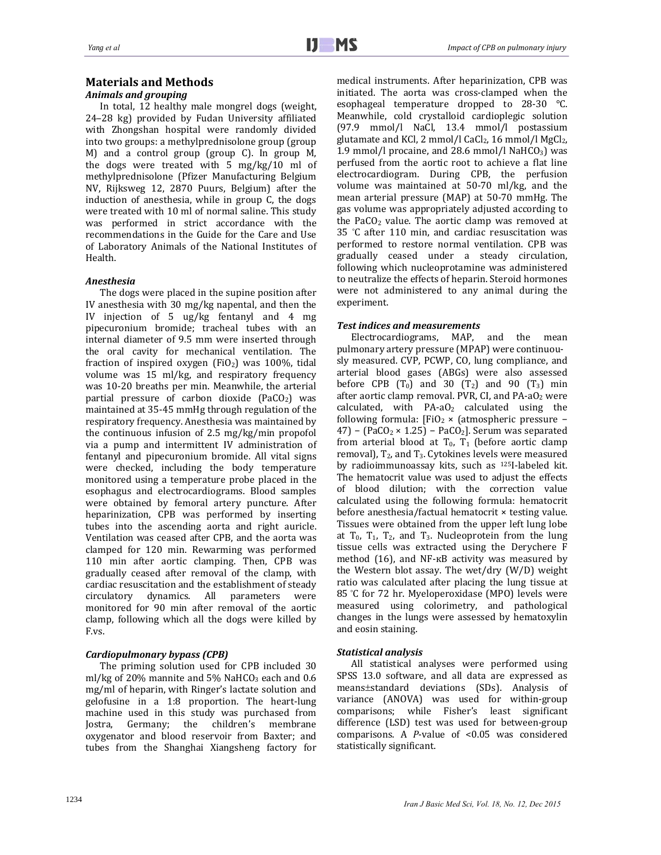# **Materials and Methods**

## *Animals and grouping*

In total, 12 healthy male mongrel dogs (weight, 24-28 kg) provided by Fudan University affiliated with Zhongshan hospital were randomly divided into two groups: a methylprednisolone group (group M) and a control group (group  $C$ ). In group  $M$ , the dogs were treated with  $5 \text{ mg/kg}/10 \text{ ml of}$ methylprednisolone (Pfizer Manufacturing Belgium NV, Rijksweg 12, 2870 Puurs, Belgium) after the induction of anesthesia, while in group  $C$ , the dogs were treated with 10 ml of normal saline. This study was performed in strict accordance with the recommendations in the Guide for the Care and Use of Laboratory Animals of the National Institutes of Health. 

## *Anesthesia*

The dogs were placed in the supine position after IV anesthesia with  $30 \text{ mg/kg}$  napental, and then the IV injection of 5  $\frac{1}{2}$  ug/kg fentanyl and 4 mg pipecuronium bromide; tracheal tubes with an internal diameter of 9.5 mm were inserted through the oral cavity for mechanical ventilation. The fraction of inspired oxygen  $(FiO<sub>2</sub>)$  was 100%, tidal volume was  $15$  ml/kg, and respiratory frequency was 10-20 breaths per min. Meanwhile, the arterial partial pressure of carbon dioxide  $(PaCO<sub>2</sub>)$  was maintained at 35-45 mmHg through regulation of the respiratory frequency. Anesthesia was maintained by the continuous infusion of  $2.5 \text{ mg/kg/min}$  propofol via a pump and intermittent IV administration of fentanyl and pipecuronium bromide. All vital signs were checked, including the body temperature monitored using a temperature probe placed in the esophagus and electrocardiograms. Blood samples were obtained by femoral artery puncture. After heparinization, CPB was performed by inserting tubes into the ascending aorta and right auricle. Ventilation was ceased after CPB, and the aorta was clamped for 120 min. Rewarming was performed 110 min after aortic clamping. Then, CPB was gradually ceased after removal of the clamp, with cardiac resuscitation and the establishment of steady circulatory dynamics. All parameters were monitored for 90 min after removal of the aortic clamp, following which all the dogs were killed by F.vs. 

## *Cardiopulmonary bypass (CPB)*

The priming solution used for CPB included 30 ml/kg of 20% mannite and 5% NaHCO<sub>3</sub> each and  $0.6$ mg/ml of heparin, with Ringer's lactate solution and gelofusine in a 1:8 proportion. The heart-lung machine used in this study was purchased from Jostra, Germany; the children's membrane oxygenator and blood reservoir from Baxter; and tubes from the Shanghai Xiangsheng factory for

medical instruments. After heparinization, CPB was initiated. The aorta was cross-clamped when the esophageal temperature dropped to  $28-30$  °C. Meanwhile, cold crystalloid cardioplegic solution (97.9 mmol/l NaCl, 13.4 mmol/l postassium glutamate and KCl, 2 mmol/l CaCl<sub>2</sub>, 16 mmol/l MgCl<sub>2</sub>, 1.9 mmol/l procaine, and 28.6 mmol/l NaHCO<sub>3</sub>) was perfused from the aortic root to achieve a flat line electrocardiogram. During CPB, the perfusion volume was maintained at 50-70 ml/kg, and the mean arterial pressure (MAP) at 50-70 mmHg. The gas volume was appropriately adjusted according to the PaCO<sub>2</sub> value. The aortic clamp was removed at 35 °C after 110 min, and cardiac resuscitation was performed to restore normal ventilation. CPB was gradually ceased under a steady circulation, following which nucleoprotamine was administered to neutralize the effects of heparin. Steroid hormones were not administered to any animal during the experiment. 

## *Test indices and measurements*

Electrocardiograms, MAP, and the mean pulmonary artery pressure (MPAP) were continuously measured. CVP, PCWP, CO, lung compliance, and arterial blood gases (ABGs) were also assessed before CPB  $(T_0)$  and 30  $(T_2)$  and 90  $(T_3)$  min after aortic clamp removal. PVR, CI, and  $PA-aO<sub>2</sub>$  were calculated, with  $PA-aO<sub>2</sub>$  calculated using the following formula:  $[FiO<sub>2</sub> × (atmospheric pressure -$ 47) – (PaCO<sub>2</sub> × 1.25) – PaCO<sub>2</sub>]. Serum was separated from arterial blood at  $T_0$ ,  $T_1$  (before aortic clamp removal),  $T_2$ , and  $T_3$ . Cytokines levels were measured by radioimmunoassay kits, such as  $125$ I-labeled kit. The hematocrit value was used to adjust the effects of blood dilution; with the correction value calculated using the following formula: hematocrit before anesthesia/factual hematocrit  $\times$  testing value. Tissues were obtained from the upper left lung lobe at  $T_0$ ,  $T_1$ ,  $T_2$ , and  $T_3$ . Nucleoprotein from the lung tissue cells was extracted using the Derychere F method  $(16)$ , and NF- $\kappa$ B activity was measured by the Western blot assay. The wet/dry  $(W/D)$  weight ratio was calculated after placing the lung tissue at 85 °C for 72 hr. Myeloperoxidase (MPO) levels were measured using colorimetry, and pathological changes in the lungs were assessed by hematoxylin and eosin staining.

### *Statistical analysis*

All statistical analyses were performed using SPSS 13.0 software, and all data are expressed as means±standard deviations (SDs). Analysis of variance (ANOVA) was used for within-group comparisons; while Fisher's least significant difference (LSD) test was used for between-group comparisons. A *P*-value of <0.05 was considered statistically significant.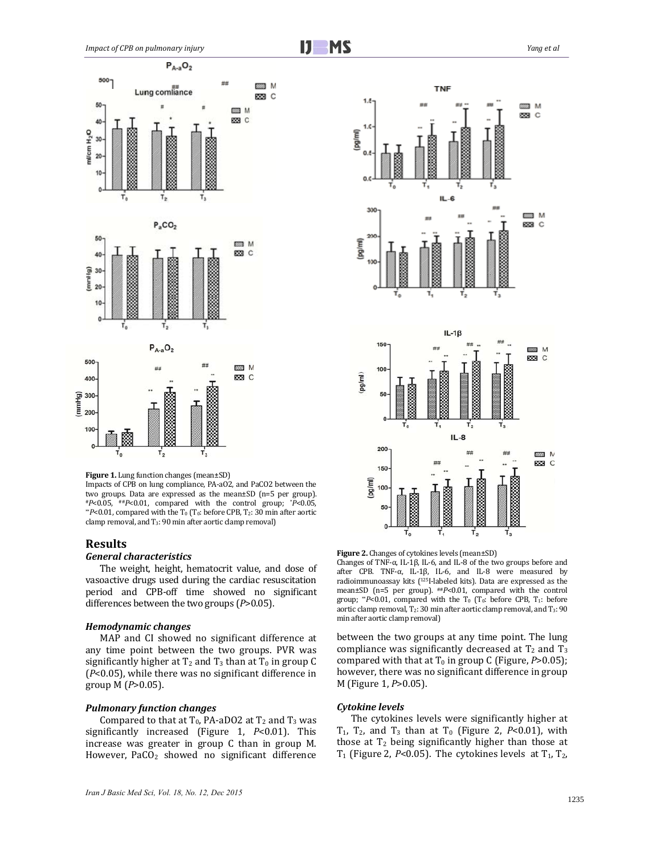

#### **Figure 1.** Lung function changes (mean±SD)

Impacts of CPB on lung compliance, PA-aO2, and PaCO2 between the two groups. Data are expressed as the mean $\pm$ SD (n=5 per group). #*P*<0.05, ##*P*<0.01, compared with the control group; \**P*<0.05, \*\**P*<0.01, compared with the T<sub>0</sub> (T<sub>0</sub>: before CPB, T<sub>2</sub>: 30 min after aortic clamp removal, and  $T_3$ : 90 min after aortic clamp removal)

#### **Results**

### *General characteristics*

The weight, height, hematocrit value, and dose of vasoactive drugs used during the cardiac resuscitation period and CPB-off time showed no significant differences between the two groups ( $P > 0.05$ ).

#### *Hemodynamic changes*

MAP and CI showed no significant difference at any time point between the two groups. PVR was significantly higher at  $T_2$  and  $T_3$  than at  $T_0$  in group C  $(P<0.05)$ , while there was no significant difference in group M (*P*>0.05). 

#### *Pulmonary function changes*

Compared to that at T<sub>0</sub>, PA-aDO2 at T<sub>2</sub> and T<sub>3</sub> was significantly increased (Figure 1, *P*<0.01). This increase was greater in group  $C$  than in group  $M$ . However,  $PaCO<sub>2</sub>$  showed no significant difference



**Figure 2.** Changes of cytokines levels (mean±SD)

Changes of TNF- $\alpha$ , IL-1 $\beta$ , IL-6, and IL-8 of the two groups before and after CPB. TNF- $\alpha$ , IL-1 $\beta$ , IL-6, and IL-8 were measured by radioimmunoassay kits  $(1251$ -labeled kits). Data are expressed as the mean±SD (n=5 per group).  $^{**}P$ <0.01, compared with the control group; \*\**P<*0.01, compared with the T<sub>0</sub> (T<sub>0</sub>: before CPB, T<sub>1</sub>: before aortic clamp removal,  $T_2$ : 30 min after aortic clamp removal, and  $T_3$ : 90 min after aortic clamp removal)

between the two groups at any time point. The lung compliance was significantly decreased at  $T_2$  and  $T_3$ compared with that at  $T_0$  in group C (Figure,  $P > 0.05$ ); however, there was no significant difference in group M (Figure 1, *P*>0.05). 

## *Cytokine levels*

The cytokines levels were significantly higher at  $T_1$ ,  $T_2$ , and  $T_3$  than at  $T_0$  (Figure 2, *P*<0.01), with those at  $T_2$  being significantly higher than those at T<sub>1</sub> (Figure 2, *P*<0.05). The cytokines levels at  $T_1$ ,  $T_2$ ,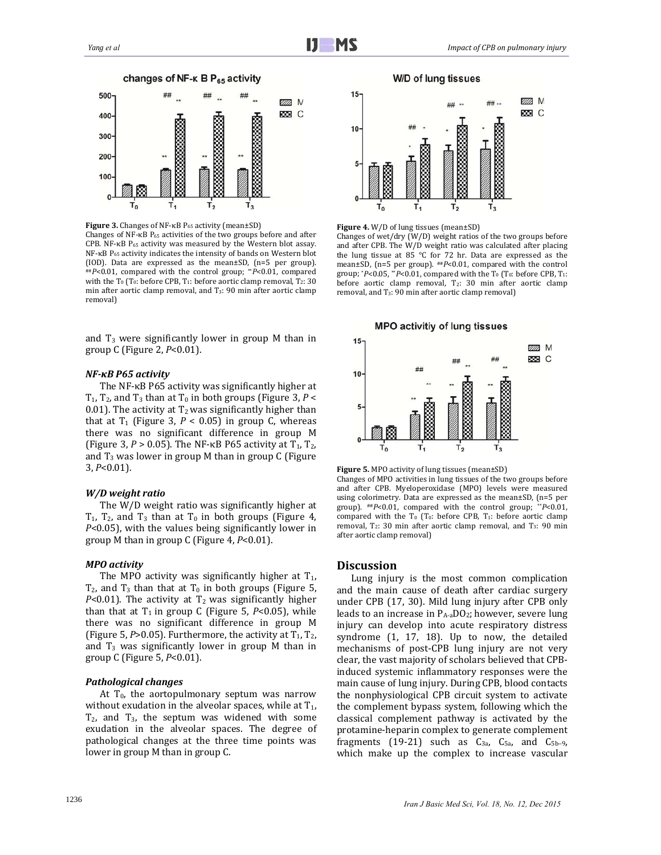

**Figure** 3. Changes of NF-κB P<sub>65</sub> activity (mean±SD)

Changes of NF- $\kappa$ B P<sub>65</sub> activities of the two groups before and after CPB. NF-κB P<sub>65</sub> activity was measured by the Western blot assay. NF-κB P<sub>65</sub> activity indicates the intensity of bands on Western blot (IOD). Data are expressed as the mean $\pm$ SD, (n=5 per group). ##P<0.01, compared with the control group; \*\*P<0.01, compared with the  $T_0$  ( $T_0$ : before CPB,  $T_1$ : before aortic clamp removal,  $T_2$ : 30 min after aortic clamp removal, and  $T_3$ : 90 min after aortic clamp removal) 

and  $T_3$  were significantly lower in group M than in group C (Figure 2, *P*<0.01). 

#### *NF‐κB P65 activity*

The NF-κB P65 activity was significantly higher at  $T_1$ ,  $T_2$ , and  $T_3$  than at  $T_0$  in both groups (Figure 3, *P* < 0.01). The activity at  $T_2$  was significantly higher than that at  $T_1$  (Figure 3,  $P < 0.05$ ) in group C, whereas there was no significant difference in group M (Figure 3,  $P > 0.05$ ). The NF- $\kappa$ B P65 activity at T<sub>1</sub>, T<sub>2</sub>, and  $T_3$  was lower in group M than in group C (Figure 3, *P*<0.01). 

#### *W/D weight ratio*

The  $W/D$  weight ratio was significantly higher at  $T_1$ ,  $T_2$ , and  $T_3$  than at  $T_0$  in both groups (Figure 4, *P*<0.05), with the values being significantly lower in group M than in group C (Figure 4,  $P<0.01$ ).

## *MPO activity*

The MPO activity was significantly higher at  $T_1$ ,  $T_2$ , and  $T_3$  than that at  $T_0$  in both groups (Figure 5, *P*<0.01). The activity at  $T_2$  was significantly higher than that at  $T_1$  in group C (Figure 5,  $P<0.05$ ), while there was no significant difference in group M (Figure 5,  $P > 0.05$ ). Furthermore, the activity at  $T_1$ ,  $T_2$ , and  $T_3$  was significantly lower in group M than in group C (Figure 5, *P*<0.01). 

#### *Pathological changes*

At  $T_0$ , the aortopulmonary septum was narrow without exudation in the alveolar spaces, while at  $T_1$ ,  $T_2$ , and  $T_3$ , the septum was widened with some exudation in the alveolar spaces. The degree of pathological changes at the three time points was lower in group M than in group C.





#### **Figure 4.** W/D of lung tissues (mean±SD)

Changes of wet/dry  $(W/D)$  weight ratios of the two groups before and after CPB. The W/D weight ratio was calculated after placing the lung tissue at  $85^\circ$ C for 72 hr. Data are expressed as the mean±SD, (n=5 per group).  $^{**}P<0.01$ , compared with the control group;  $*P<0.05$ ,  $*P<0.01$ , compared with the T<sub>0</sub> (T<sub>0</sub>: before CPB, T<sub>1</sub>: before aortic clamp removal, T<sub>2</sub>: 30 min after aortic clamp removal, and  $T_3$ : 90 min after aortic clamp removal)





Changes of MPO activities in lung tissues of the two groups before and after CPB. Myeloperoxidase (MPO) levels were measured using colorimetry. Data are expressed as the mean $\pm$ SD, (n=5 per group).  $^{**}P<0.01$ , compared with the control group; \*\* $P<0.01$ , compared with the  $T_0$  ( $T_0$ : before CPB,  $T_1$ : before aortic clamp removal,  $T_2$ : 30 min after aortic clamp removal, and  $T_3$ : 90 min after aortic clamp removal)

### **Discussion**

Lung injury is the most common complication and the main cause of death after cardiac surgery under CPB (17, 30). Mild lung injury after CPB only leads to an increase in  $P_{A-a}DO_2$ ; however, severe lung injury can develop into acute respiratory distress syndrome  $(1, 17, 18)$ . Up to now, the detailed mechanisms of post-CPB lung injury are not very clear, the vast majority of scholars believed that CPBinduced systemic inflammatory responses were the main cause of lung injury. During CPB, blood contacts the nonphysiological CPB circuit system to activate the complement bypass system, following which the classical complement pathway is activated by the protamine-heparin complex to generate complement fragments (19-21) such as  $C_{3a}$ ,  $C_{5a}$ , and  $C_{5b-9}$ , which make up the complex to increase vascular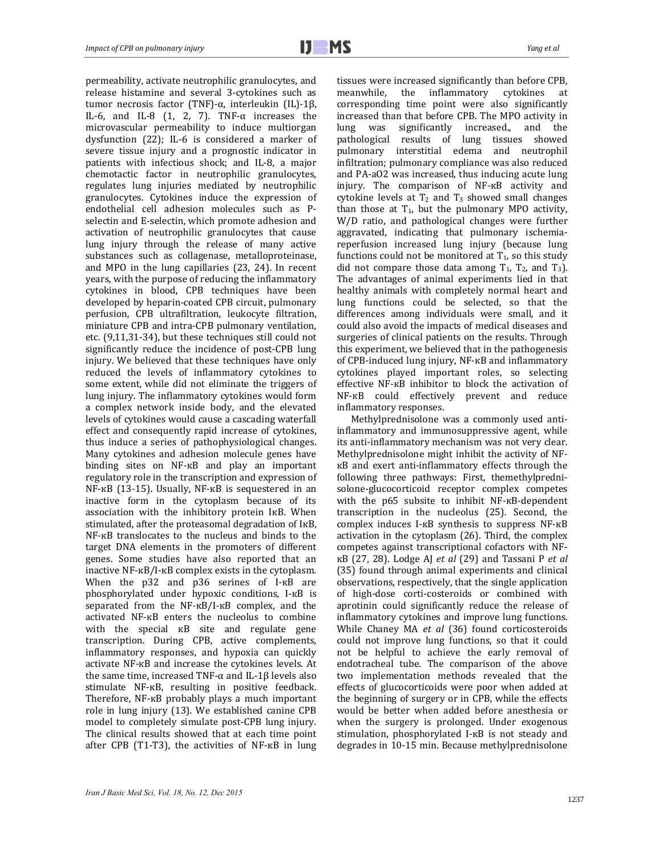permeability, activate neutrophilic granulocytes, and release histamine and several 3-cytokines such as tumor necrosis factor (TNF)-α, interleukin (IL)-1β, IL-6, and IL-8  $(1, 2, 7)$ . TNF- $\alpha$  increases the microvascular permeability to induce multiorgan dysfunction  $(22)$ ; IL-6 is considered a marker of severe tissue injury and a prognostic indicator in patients with infectious shock; and IL-8, a major chemotactic factor in neutrophilic granulocytes, regulates lung injuries mediated by neutrophilic granulocytes. Cytokines induce the expression of endothelial cell adhesion molecules such as Pselectin and E-selectin, which promote adhesion and activation of neutrophilic granulocytes that cause lung injury through the release of many active substances such as collagenase, metalloproteinase, and MPO in the lung capillaries  $(23, 24)$ . In recent years, with the purpose of reducing the inflammatory cytokines in blood, CPB techniques have been developed by heparin-coated CPB circuit, pulmonary perfusion, CPB ultrafiltration, leukocyte filtration, miniature CPB and intra-CPB pulmonary ventilation, etc. (9,11,31-34), but these techniques still could not significantly reduce the incidence of post-CPB lung injury. We believed that these techniques have only reduced the levels of inflammatory cytokines to some extent, while did not eliminate the triggers of lung injury. The inflammatory cytokines would form a complex network inside body, and the elevated levels of cytokines would cause a cascading waterfall effect and consequently rapid increase of cytokines, thus induce a series of pathophysiological changes. Many cytokines and adhesion molecule genes have binding sites on NF-KB and play an important regulatory role in the transcription and expression of  $NF$ -кВ (13-15). Usually,  $NF$ -кВ is sequestered in an inactive form in the cytoplasm because of its association with the inhibitory protein IKB. When stimulated, after the proteasomal degradation of IKB, NF-KB translocates to the nucleus and binds to the target DNA elements in the promoters of different genes. Some studies have also reported that an inactive  $NF$ - $KB/I$ - $KB$  complex exists in the cytoplasm. When the p32 and p36 serines of I-KB are phosphorylated under hypoxic conditions, I-кВ is separated from the NF-кB/I-кB complex, and the activated NF-кB enters the nucleolus to combine with the special  $\kappa$ B site and regulate gene transcription. During CPB, active complements, inflammatory responses, and hypoxia can quickly activate NF-KB and increase the cytokines levels. At the same time, increased TNF- $\alpha$  and IL-1 $\beta$  levels also stimulate NF-<sub>K</sub>B, resulting in positive feedback. Therefore, NF-KB probably plays a much important role in lung injury (13). We established canine CPB model to completely simulate post-CPB lung injury. The clinical results showed that at each time point after CPB (T1-T3), the activities of NF-KB in lung

tissues were increased significantly than before CPB, meanwhile, the inflammatory cytokines at corresponding time point were also significantly increased than that before CPB. The MPO activity in lung was significantly increased., and the pathological results of lung tissues showed pulmonary interstitial edema and neutrophil infiltration; pulmonary compliance was also reduced and PA-aO2 was increased, thus inducing acute lung injury. The comparison of NF-кВ activity and cytokine levels at  $T_2$  and  $T_3$  showed small changes than those at  $T_1$ , but the pulmonary MPO activity, W/D ratio, and pathological changes were further aggravated, indicating that pulmonary ischemiareperfusion increased lung injury (because lung functions could not be monitored at  $T_1$ , so this study did not compare those data among  $T_1$ ,  $T_2$ , and  $T_3$ ). The advantages of animal experiments lied in that healthy animals with completely normal heart and lung functions could be selected, so that the differences among individuals were small, and it could also avoid the impacts of medical diseases and surgeries of clinical patients on the results. Through this experiment, we believed that in the pathogenesis of CPB-induced lung injury, NF-кВ and inflammatory cytokines played important roles, so selecting effective NF-кВ inhibitor to block the activation of NF-<sub>K</sub>B could effectively prevent and reduce inflammatory responses.

Methylprednisolone was a commonly used antiinflammatory and immunosuppressive agent, while its anti-inflammatory mechanism was not very clear. Methylprednisolone might inhibit the activity of NFкB and exert anti-inflammatory effects through the following three pathways: First, themethylprednisolone-glucocorticoid receptor complex competes with the p65 subsite to inhibit NF-<sub>KB</sub>-dependent transcription in the nucleolus (25). Second, the complex induces I-кВ synthesis to suppress NF-кВ activation in the cytoplasm  $(26)$ . Third, the complex competes against transcriptional cofactors with NFкВ (27, 28). Lodge AJ *et al* (29) and Tassani P *et al* (35) found through animal experiments and clinical observations, respectively, that the single application of high-dose corti-costeroids or combined with aprotinin could significantly reduce the release of inflammatory cytokines and improve lung functions. While Chaney MA et al (36) found corticosteroids could not improve lung functions, so that it could not be helpful to achieve the early removal of endotracheal tube. The comparison of the above two implementation methods revealed that the effects of glucocorticoids were poor when added at the beginning of surgery or in CPB, while the effects would be better when added before anesthesia or when the surgery is prolonged. Under exogenous stimulation, phosphorylated I-KB is not steady and degrades in 10-15 min. Because methylprednisolone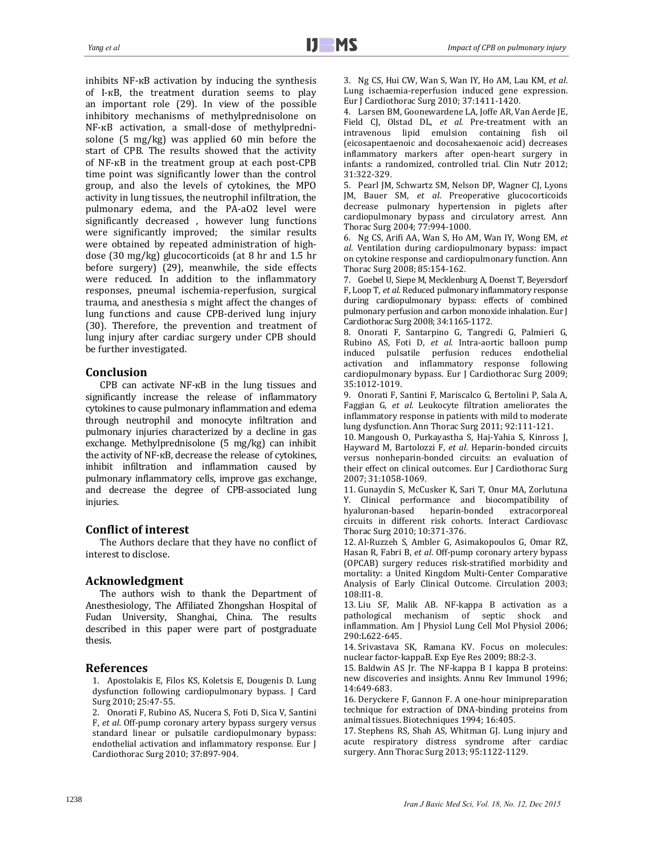inhibits  $NF$ - $\kappa$ B activation by inducing the synthesis of I-KB, the treatment duration seems to play an important role  $(29)$ . In view of the possible inhibitory mechanisms of methylprednisolone on NF-кB activation, a small-dose of methylprednisolone  $(5 \text{ mg/kg})$  was applied  $60 \text{ min}$  before the start of CPB. The results showed that the activity of NF-кB in the treatment group at each post-CPB time point was significantly lower than the control group, and also the levels of cytokines, the MPO activity in lung tissues, the neutrophil infiltration, the pulmonary edema, and the PA-aO2 level were significantly decreased, however lung functions were significantly improved; the similar results were obtained by repeated administration of highdose (30 mg/kg) glucocorticoids (at 8 hr and 1.5 hr before surgery)  $(29)$ , meanwhile, the side effects were reduced. In addition to the inflammatory responses, pneumal ischemia-reperfusion, surgical trauma, and anesthesia s might affect the changes of lung functions and cause CPB-derived lung injury (30). Therefore, the prevention and treatment of lung injury after cardiac surgery under CPB should be further investigated.

# **Conclusion**

CPB can activate  $NF$ - $\kappa$ B in the lung tissues and significantly increase the release of inflammatory cytokines to cause pulmonary inflammation and edema through neutrophil and monocyte infiltration and pulmonary injuries characterized by a decline in gas exchange. Methylprednisolone (5 mg/kg) can inhibit the activity of NF-кB, decrease the release of cytokines, inhibit infiltration and inflammation caused by pulmonary inflammatory cells, improve gas exchange, and decrease the degree of CPB-associated lung injuries.

# **Conflict of interest**

The Authors declare that they have no conflict of interest to disclose.

## **Acknowledgment**

The authors wish to thank the Department of Anesthesiology, The Affiliated Zhongshan Hospital of Fudan University, Shanghai, China. The results described in this paper were part of postgraduate thesis. 

## **References**

1. Apostolakis E, Filos KS, Koletsis E, Dougenis D. Lung dysfunction following cardiopulmonary bypass. J Card Surg 2010; 25:47-55.

2. Onorati F, Rubino AS, Nucera S, Foti D, Sica V, Santini F, et al. Off-pump coronary artery bypass surgery versus standard linear or pulsatile cardiopulmonary bypass: endothelial activation and inflammatory response. Eur J Cardiothorac Surg 2010; 37:897-904.

3. Ng CS, Hui CW, Wan S, Wan IY, Ho AM, Lau KM, *et al*. Lung ischaemia-reperfusion induced gene expression. Eur J Cardiothorac Surg 2010; 37:1411-1420.

4. Larsen BM, Goonewardene LA, Joffe AR, Van Aerde JE, Field CJ, Olstad DL, et al. Pre-treatment with an intravenous lipid emulsion containing fish oil (eicosapentaenoic and docosahexaenoic acid) decreases inflammatory markers after open-heart surgery in infants: a randomized, controlled trial. Clin Nutr 2012; 31:322‐329.

5. Pearl JM, Schwartz SM, Nelson DP, Wagner CJ, Lyons JM, Bauer SM, et al. Preoperative glucocorticoids decrease pulmonary hypertension in piglets after cardiopulmonary bypass and circulatory arrest. Ann Thorac Surg 2004; 77:994-1000.

6. Ng CS, Arifi AA, Wan S, Ho AM, Wan IY, Wong EM, *et al*. Ventilation during cardiopulmonary bypass: impact on cytokine response and cardiopulmonary function. Ann Thorac Surg 2008; 85:154-162.

7. Goebel U, Siepe M, Mecklenburg A, Doenst T, Beyersdorf F, Loop T, et al. Reduced pulmonary inflammatory response during cardiopulmonary bypass: effects of combined pulmonary perfusion and carbon monoxide inhalation. Eur J Cardiothorac Surg 2008; 34:1165-1172.

8. Onorati F, Santarpino G, Tangredi G, Palmieri G, Rubino AS, Foti D, *et al*. Intra‐aortic balloon pump induced pulsatile perfusion reduces endothelial activation and inflammatory response following cardiopulmonary bypass. Eur J Cardiothorac Surg 2009; 35:1012‐1019.

9. Onorati F, Santini F, Mariscalco G, Bertolini P, Sala A, Faggian G, et al. Leukocyte filtration ameliorates the inflammatory response in patients with mild to moderate lung dysfunction. Ann Thorac Surg 2011; 92:111-121.

10. Mangoush O, Purkayastha S, Haj-Yahia S, Kinross J, Hayward M, Bartolozzi F, et al. Heparin-bonded circuits versus nonheparin-bonded circuits: an evaluation of their effect on clinical outcomes. Eur J Cardiothorac Surg 2007; 31:1058‐1069.

11. Gunaydin S, McCusker K, Sari T, Onur MA, Zorlutuna Y. Clinical performance and biocompatibility of hyaluronan-based heparin-bonded extracorporeal hyaluronan‐based heparin‐bonded extracorporeal circuits in different risk cohorts. Interact Cardiovasc Thorac Surg 2010; 10:371-376.

12. Al-Ruzzeh S, Ambler G, Asimakopoulos G, Omar RZ, Hasan R, Fabri B, et al. Off-pump coronary artery bypass (OPCAB) surgery reduces risk‐stratified morbidity and mortality: a United Kingdom Multi-Center Comparative Analysis of Early Clinical Outcome. Circulation 2003; 108:II1‐8.

13. Liu SF, Malik AB. NF-kappa B activation as a pathological mechanism of septic shock and inflammation. Am J Physiol Lung Cell Mol Physiol 2006; 290:L622‐645.

14. Srivastava SK, Ramana KV. Focus on molecules: nuclear factor-kappaB. Exp Eye Res 2009; 88:2-3.

15. Baldwin AS Jr. The NF-kappa B I kappa B proteins: new discoveries and insights. Annu Rev Immunol 1996; 14:649‐683.

16. Deryckere F, Gannon F. A one-hour minipreparation technique for extraction of DNA-binding proteins from animal tissues. Biotechniques 1994; 16:405.

17. Stephens RS, Shah AS, Whitman GJ. Lung injury and acute respiratory distress syndrome after cardiac surgery. Ann Thorac Surg 2013; 95:1122-1129.